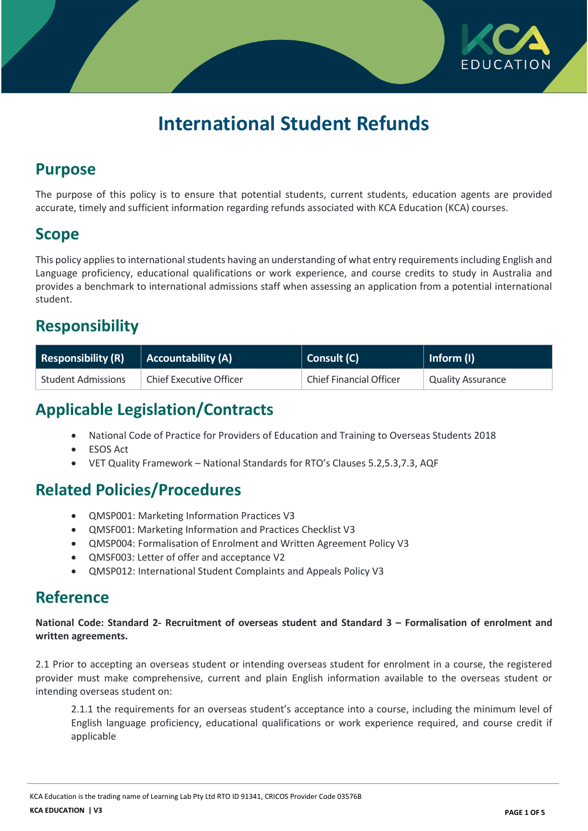

# **International Student Refunds**

### **Purpose**

The purpose of this policy is to ensure that potential students, current students, education agents are provided accurate, timely and sufficient information regarding refunds associated with KCA Education (KCA) courses.

### **Scope**

This policy applies to international students having an understanding of what entry requirements including English and Language proficiency, educational qualifications or work experience, and course credits to study in Australia and provides a benchmark to international admissions staff when assessing an application from a potential international student.

# **Responsibility**

| <b>Responsibility (R)</b> | Accountability (A)             | Consult (C)                    | Inform (I)               |
|---------------------------|--------------------------------|--------------------------------|--------------------------|
| Student Admissions        | <b>Chief Executive Officer</b> | <b>Chief Financial Officer</b> | <b>Quality Assurance</b> |

# **Applicable Legislation/Contracts**

- National Code of Practice for Providers of Education and Training to Overseas Students 2018
- ESOS Act
- VET Quality Framework National Standards for RTO's Clauses 5.2,5.3,7.3, AQF

# **Related Policies/Procedures**

- QMSP001: Marketing Information Practices V3
- QMSF001: Marketing Information and Practices Checklist V3
- QMSP004: Formalisation of Enrolment and Written Agreement Policy V3
- QMSF003: Letter of offer and acceptance V2
- QMSP012: International Student Complaints and Appeals Policy V3

### **Reference**

**National Code: Standard 2- Recruitment of overseas student and Standard 3 – Formalisation of enrolment and written agreements.**

2.1 Prior to accepting an overseas student or intending overseas student for enrolment in a course, the registered provider must make comprehensive, current and plain English information available to the overseas student or intending overseas student on:

2.1.1 the requirements for an overseas student's acceptance into a course, including the minimum level of English language proficiency, educational qualifications or work experience required, and course credit if applicable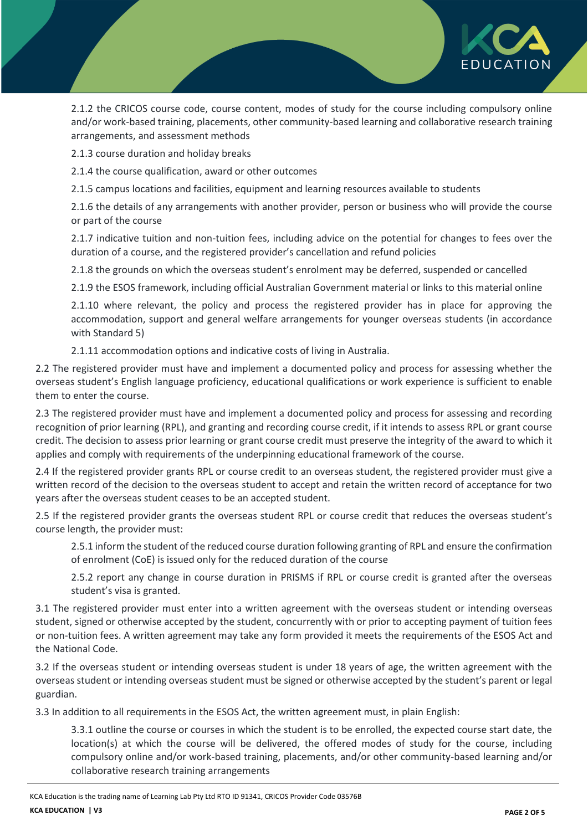

2.1.2 the CRICOS course code, course content, modes of study for the course including compulsory online and/or work-based training, placements, other community-based learning and collaborative research training arrangements, and assessment methods

2.1.3 course duration and holiday breaks

2.1.4 the course qualification, award or other outcomes

2.1.5 campus locations and facilities, equipment and learning resources available to students

2.1.6 the details of any arrangements with another provider, person or business who will provide the course or part of the course

2.1.7 indicative tuition and non-tuition fees, including advice on the potential for changes to fees over the duration of a course, and the registered provider's cancellation and refund policies

2.1.8 the grounds on which the overseas student's enrolment may be deferred, suspended or cancelled

2.1.9 the ESOS framework, including official Australian Government material or links to this material online

2.1.10 where relevant, the policy and process the registered provider has in place for approving the accommodation, support and general welfare arrangements for younger overseas students (in accordance with Standard 5)

2.1.11 accommodation options and indicative costs of living in Australia.

2.2 The registered provider must have and implement a documented policy and process for assessing whether the overseas student's English language proficiency, educational qualifications or work experience is sufficient to enable them to enter the course.

2.3 The registered provider must have and implement a documented policy and process for assessing and recording recognition of prior learning (RPL), and granting and recording course credit, if it intends to assess RPL or grant course credit. The decision to assess prior learning or grant course credit must preserve the integrity of the award to which it applies and comply with requirements of the underpinning educational framework of the course.

2.4 If the registered provider grants RPL or course credit to an overseas student, the registered provider must give a written record of the decision to the overseas student to accept and retain the written record of acceptance for two years after the overseas student ceases to be an accepted student.

2.5 If the registered provider grants the overseas student RPL or course credit that reduces the overseas student's course length, the provider must:

2.5.1 inform the student of the reduced course duration following granting of RPL and ensure the confirmation of enrolment (CoE) is issued only for the reduced duration of the course

2.5.2 report any change in course duration in PRISMS if RPL or course credit is granted after the overseas student's visa is granted.

3.1 The registered provider must enter into a written agreement with the overseas student or intending overseas student, signed or otherwise accepted by the student, concurrently with or prior to accepting payment of tuition fees or non-tuition fees. A written agreement may take any form provided it meets the requirements of the ESOS Act and the National Code.

3.2 If the overseas student or intending overseas student is under 18 years of age, the written agreement with the overseas student or intending overseas student must be signed or otherwise accepted by the student's parent or legal guardian.

3.3 In addition to all requirements in the ESOS Act, the written agreement must, in plain English:

3.3.1 outline the course or courses in which the student is to be enrolled, the expected course start date, the location(s) at which the course will be delivered, the offered modes of study for the course, including compulsory online and/or work-based training, placements, and/or other community-based learning and/or collaborative research training arrangements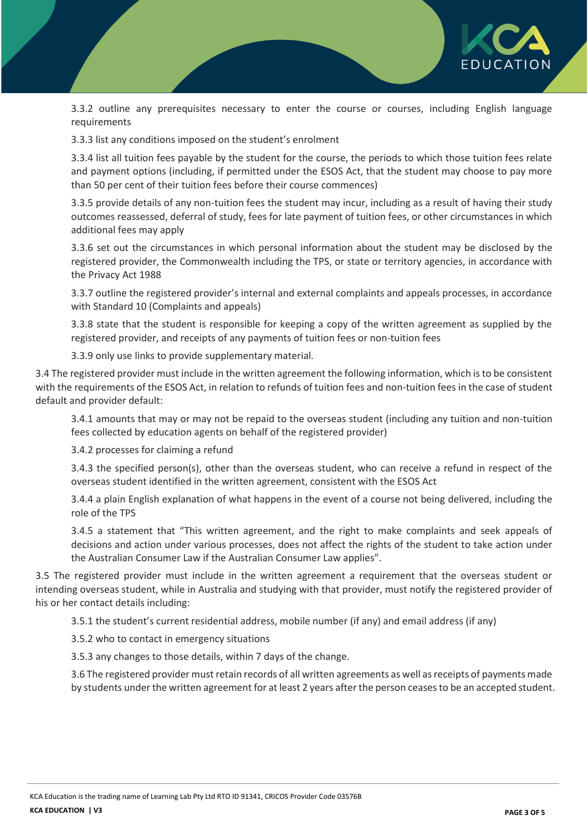

3.3.2 outline any prerequisites necessary to enter the course or courses, including English language requirements

3.3.3 list any conditions imposed on the student's enrolment

3.3.4 list all tuition fees payable by the student for the course, the periods to which those tuition fees relate and payment options (including, if permitted under the ESOS Act, that the student may choose to pay more than 50 per cent of their tuition fees before their course commences)

3.3.5 provide details of any non-tuition fees the student may incur, including as a result of having their study outcomes reassessed, deferral of study, fees for late payment of tuition fees, or other circumstances in which additional fees may apply

3.3.6 set out the circumstances in which personal information about the student may be disclosed by the registered provider, the Commonwealth including the TPS, or state or territory agencies, in accordance with the Privacy Act 1988

3.3.7 outline the registered provider's internal and external complaints and appeals processes, in accordance with Standard 10 (Complaints and appeals)

3.3.8 state that the student is responsible for keeping a copy of the written agreement as supplied by the registered provider, and receipts of any payments of tuition fees or non-tuition fees

3.3.9 only use links to provide supplementary material.

3.4 The registered provider must include in the written agreement the following information, which is to be consistent with the requirements of the ESOS Act, in relation to refunds of tuition fees and non-tuition fees in the case of student default and provider default:

3.4.1 amounts that may or may not be repaid to the overseas student (including any tuition and non-tuition fees collected by education agents on behalf of the registered provider)

3.4.2 processes for claiming a refund

3.4.3 the specified person(s), other than the overseas student, who can receive a refund in respect of the overseas student identified in the written agreement, consistent with the ESOS Act

3.4.4 a plain English explanation of what happens in the event of a course not being delivered, including the role of the TPS

3.4.5 a statement that "This written agreement, and the right to make complaints and seek appeals of decisions and action under various processes, does not affect the rights of the student to take action under the Australian Consumer Law if the Australian Consumer Law applies".

3.5 The registered provider must include in the written agreement a requirement that the overseas student or intending overseas student, while in Australia and studying with that provider, must notify the registered provider of his or her contact details including:

3.5.1 the student's current residential address, mobile number (if any) and email address (if any)

3.5.2 who to contact in emergency situations

3.5.3 any changes to those details, within 7 days of the change.

3.6 The registered provider must retain records of all written agreements as well as receipts of payments made by students under the written agreement for at least 2 years after the person ceases to be an accepted student.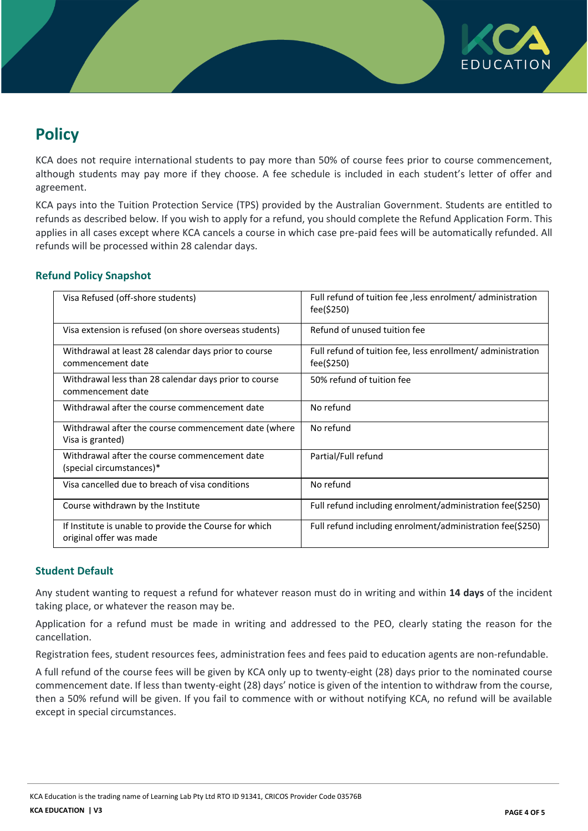

# **Policy**

KCA does not require international students to pay more than 50% of course fees prior to course commencement, although students may pay more if they choose. A fee schedule is included in each student's letter of offer and agreement.

KCA pays into the Tuition Protection Service (TPS) provided by the Australian Government. Students are entitled to refunds as described below. If you wish to apply for a refund, you should complete the Refund Application Form. This applies in all cases except where KCA cancels a course in which case pre-paid fees will be automatically refunded. All refunds will be processed within 28 calendar days.

### **Refund Policy Snapshot**

| Visa Refused (off-shore students)                                                 | Full refund of tuition fee, less enrolment/ administration<br>fee(\$250)  |  |
|-----------------------------------------------------------------------------------|---------------------------------------------------------------------------|--|
| Visa extension is refused (on shore overseas students)                            | Refund of unused tuition fee                                              |  |
| Withdrawal at least 28 calendar days prior to course<br>commencement date         | Full refund of tuition fee, less enrollment/ administration<br>fee(\$250) |  |
| Withdrawal less than 28 calendar days prior to course<br>commencement date        | 50% refund of tuition fee                                                 |  |
| Withdrawal after the course commencement date                                     | No refund                                                                 |  |
| Withdrawal after the course commencement date (where<br>Visa is granted)          | No refund                                                                 |  |
| Withdrawal after the course commencement date<br>(special circumstances)*         | Partial/Full refund                                                       |  |
| Visa cancelled due to breach of visa conditions                                   | No refund                                                                 |  |
| Course withdrawn by the Institute                                                 | Full refund including enrolment/administration fee(\$250)                 |  |
| If Institute is unable to provide the Course for which<br>original offer was made | Full refund including enrolment/administration fee(\$250)                 |  |

#### **Student Default**

Any student wanting to request a refund for whatever reason must do in writing and within **14 days** of the incident taking place, or whatever the reason may be.

Application for a refund must be made in writing and addressed to the PEO, clearly stating the reason for the cancellation.

Registration fees, student resources fees, administration fees and fees paid to education agents are non-refundable.

A full refund of the course fees will be given by KCA only up to twenty-eight (28) days prior to the nominated course commencement date. If less than twenty-eight (28) days' notice is given of the intention to withdraw from the course, then a 50% refund will be given. If you fail to commence with or without notifying KCA, no refund will be available except in special circumstances.